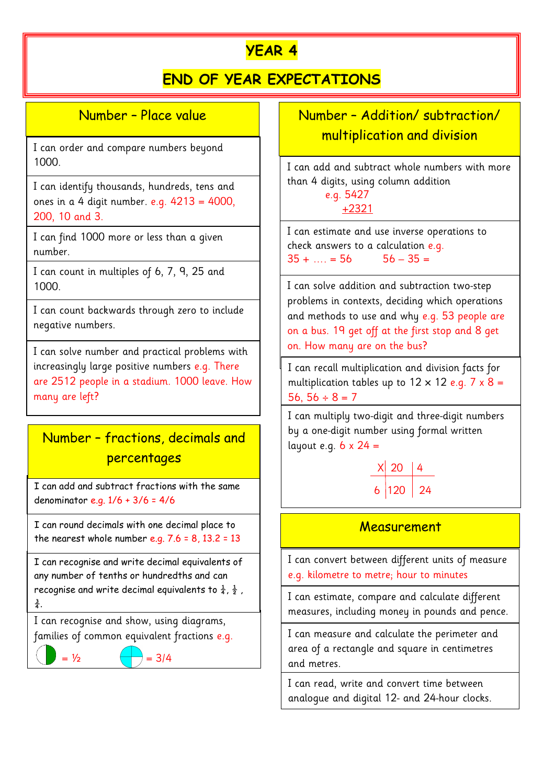# **YEAR 4**

## **END OF YEAR EXPECTATIONS**

### Number – Place value

I can order and compare numbers beyond 1000.

I can identify thousands, hundreds, tens and ones in a 4 digit number. e.g.  $4213 = 4000$ , 200, 10 and 3.

I can find 1000 more or less than a given number.

I can count in multiples of 6, 7, 9, 25 and 1000.

I can count backwards through zero to include negative numbers.

I can solve number and practical problems with increasingly large positive numbers e.g. There are 2512 people in a stadium. 1000 leave. How many are left?

## Number – fractions, decimals and percentages

I can add and subtract fractions with the same denominator e.g. 1/6 + 3/6 = 4/6

I can round decimals with one decimal place to the nearest whole number e.g.  $7.6 = 8$ ,  $13.2 = 13$ 

I can recognise and write decimal equivalents of any number of tenths or hundredths and can recognise and write decimal equivalents to  $\frac{1}{4}$ ,  $\frac{1}{2}$ ,  $\frac{3}{4}$ .

I can recognise and show, using diagrams, families of common equivalent fractions e.g.

 $= 1/2$   $\leftarrow$   $= 3/4$ 

Number – Addition/ subtraction/ multiplication and division

I can add and subtract whole numbers with more than 4 digits, using column addition

 e.g. 5427 +2321

I can estimate and use inverse operations to check answers to a calculation e.g.  $35 + ... = 56$   $56 - 35 =$ 

I can solve addition and subtraction two-step problems in contexts, deciding which operations and methods to use and why e.g. 53 people are on a bus. 19 get off at the first stop and 8 get on. How many are on the bus?

I can recall multiplication and division facts for multiplication tables up to  $12 \times 12$  e.g. 7 x 8 = 56, 56  $\div$  8 = 7

I can multiply two-digit and three-digit numbers by a one-digit number using formal written layout e.g.  $6 \times 24 =$ 

$$
\begin{array}{c|c}\n \times & 20 & 4 \\
\hline\n6 & 120 & 24\n\end{array}
$$

#### Measurement

I can convert between different units of measure e.g. kilometre to metre; hour to minutes

I can estimate, compare and calculate different measures, including money in pounds and pence.

I can measure and calculate the perimeter and area of a rectangle and square in centimetres and metres.

I can read, write and convert time between analogue and digital 12- and 24-hour clocks.